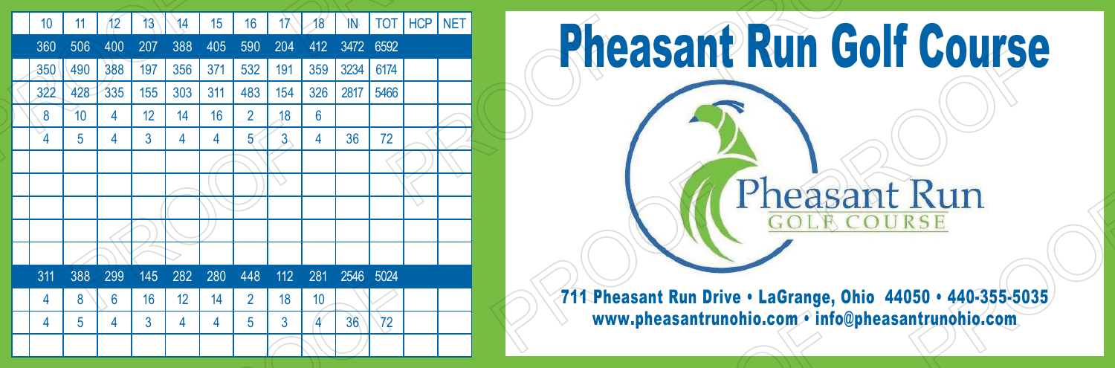

## Pheasant Run Golf Course Pheasant Run GOLA COURSE 711 Pheasant Run Drive • LaGrange, Ohio 44050 • 440-355-5035

www.pheasantrunohio.com • info@pheasantrunohio.com